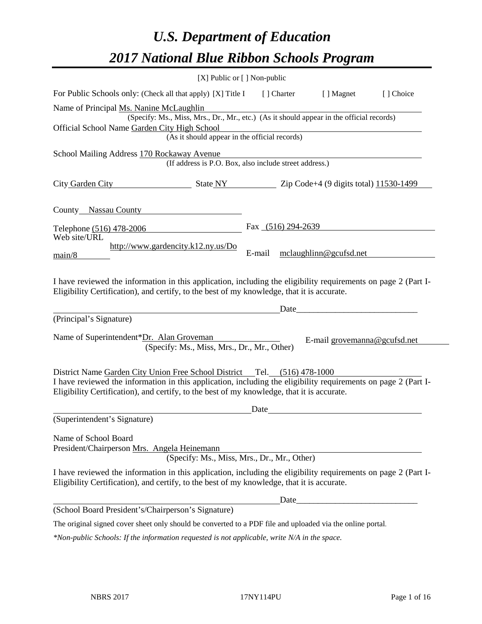# *U.S. Department of Education 2017 National Blue Ribbon Schools Program*

|                                                                                                                                                                                                                                                                                          | [X] Public or [] Non-public                                                                                                               |        |                    |                              |           |
|------------------------------------------------------------------------------------------------------------------------------------------------------------------------------------------------------------------------------------------------------------------------------------------|-------------------------------------------------------------------------------------------------------------------------------------------|--------|--------------------|------------------------------|-----------|
| For Public Schools only: (Check all that apply) [X] Title I                                                                                                                                                                                                                              |                                                                                                                                           |        | [] Charter         | [ ] Magnet                   | [] Choice |
| Name of Principal Ms. Nanine McLaughlin<br>Official School Name Garden City High School                                                                                                                                                                                                  | (Specify: Ms., Miss, Mrs., Dr., Mr., etc.) (As it should appear in the official records)<br>(As it should appear in the official records) |        |                    |                              |           |
| School Mailing Address 170 Rockaway Avenue                                                                                                                                                                                                                                               |                                                                                                                                           |        |                    |                              |           |
|                                                                                                                                                                                                                                                                                          | (If address is P.O. Box, also include street address.)                                                                                    |        |                    |                              |           |
| City Garden City State NY State NY 2ip Code+4 (9 digits total) 11530-1499                                                                                                                                                                                                                |                                                                                                                                           |        |                    |                              |           |
| County Nassau County                                                                                                                                                                                                                                                                     | <u> 1989 - Jan Barbara Barbara, prima politik po</u>                                                                                      |        |                    |                              |           |
| Telephone (516) 478-2006                                                                                                                                                                                                                                                                 |                                                                                                                                           |        | Fax (516) 294-2639 |                              |           |
| Web site/URL<br>main/8                                                                                                                                                                                                                                                                   | http://www.gardencity.k12.ny.us/Do                                                                                                        | E-mail |                    | mclaughlinn@gcufsd.net       |           |
| I have reviewed the information in this application, including the eligibility requirements on page 2 (Part I-<br>Eligibility Certification), and certify, to the best of my knowledge, that it is accurate.                                                                             |                                                                                                                                           |        |                    |                              |           |
| (Principal's Signature)                                                                                                                                                                                                                                                                  |                                                                                                                                           |        | Date               |                              |           |
| Name of Superintendent*Dr. Alan Groveman                                                                                                                                                                                                                                                 | (Specify: Ms., Miss, Mrs., Dr., Mr., Other)                                                                                               |        |                    | E-mail grovemanna@gcufsd.net |           |
| District Name Garden City Union Free School District Tel. (516) 478-1000<br>I have reviewed the information in this application, including the eligibility requirements on page 2 (Part I-<br>Eligibility Certification), and certify, to the best of my knowledge, that it is accurate. |                                                                                                                                           |        |                    |                              |           |
|                                                                                                                                                                                                                                                                                          |                                                                                                                                           | Date   |                    |                              |           |
| (Superintendent's Signature)                                                                                                                                                                                                                                                             |                                                                                                                                           |        |                    |                              |           |
| Name of School Board<br>President/Chairperson Mrs. Angela Heinemann                                                                                                                                                                                                                      | (Specify: Ms., Miss, Mrs., Dr., Mr., Other)                                                                                               |        |                    |                              |           |
| I have reviewed the information in this application, including the eligibility requirements on page 2 (Part I-<br>Eligibility Certification), and certify, to the best of my knowledge, that it is accurate.                                                                             |                                                                                                                                           |        |                    |                              |           |
|                                                                                                                                                                                                                                                                                          |                                                                                                                                           |        |                    |                              |           |
| (School Board President's/Chairperson's Signature)                                                                                                                                                                                                                                       |                                                                                                                                           |        |                    |                              |           |
| The original signed cover sheet only should be converted to a PDF file and uploaded via the online portal.                                                                                                                                                                               |                                                                                                                                           |        |                    |                              |           |

 $\overline{\phantom{0}}$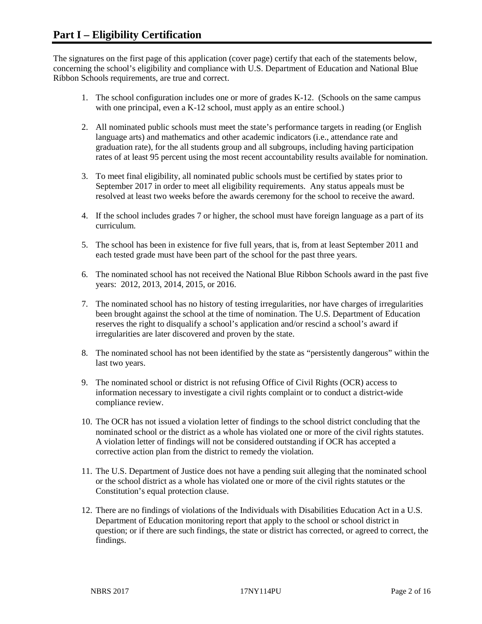The signatures on the first page of this application (cover page) certify that each of the statements below, concerning the school's eligibility and compliance with U.S. Department of Education and National Blue Ribbon Schools requirements, are true and correct.

- 1. The school configuration includes one or more of grades K-12. (Schools on the same campus with one principal, even a K-12 school, must apply as an entire school.)
- 2. All nominated public schools must meet the state's performance targets in reading (or English language arts) and mathematics and other academic indicators (i.e., attendance rate and graduation rate), for the all students group and all subgroups, including having participation rates of at least 95 percent using the most recent accountability results available for nomination.
- 3. To meet final eligibility, all nominated public schools must be certified by states prior to September 2017 in order to meet all eligibility requirements. Any status appeals must be resolved at least two weeks before the awards ceremony for the school to receive the award.
- 4. If the school includes grades 7 or higher, the school must have foreign language as a part of its curriculum.
- 5. The school has been in existence for five full years, that is, from at least September 2011 and each tested grade must have been part of the school for the past three years.
- 6. The nominated school has not received the National Blue Ribbon Schools award in the past five years: 2012, 2013, 2014, 2015, or 2016.
- 7. The nominated school has no history of testing irregularities, nor have charges of irregularities been brought against the school at the time of nomination. The U.S. Department of Education reserves the right to disqualify a school's application and/or rescind a school's award if irregularities are later discovered and proven by the state.
- 8. The nominated school has not been identified by the state as "persistently dangerous" within the last two years.
- 9. The nominated school or district is not refusing Office of Civil Rights (OCR) access to information necessary to investigate a civil rights complaint or to conduct a district-wide compliance review.
- 10. The OCR has not issued a violation letter of findings to the school district concluding that the nominated school or the district as a whole has violated one or more of the civil rights statutes. A violation letter of findings will not be considered outstanding if OCR has accepted a corrective action plan from the district to remedy the violation.
- 11. The U.S. Department of Justice does not have a pending suit alleging that the nominated school or the school district as a whole has violated one or more of the civil rights statutes or the Constitution's equal protection clause.
- 12. There are no findings of violations of the Individuals with Disabilities Education Act in a U.S. Department of Education monitoring report that apply to the school or school district in question; or if there are such findings, the state or district has corrected, or agreed to correct, the findings.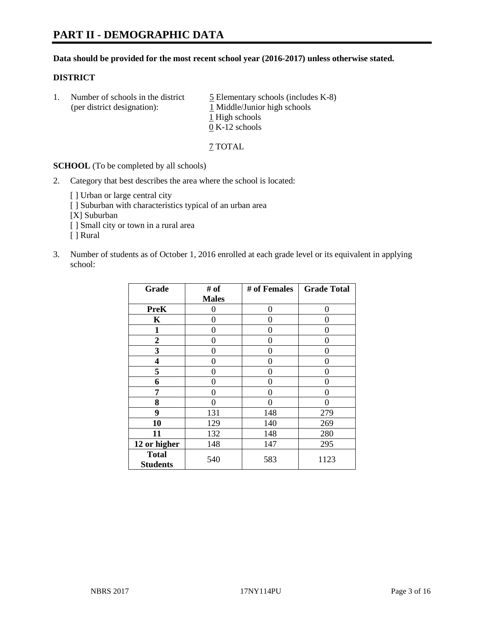#### **Data should be provided for the most recent school year (2016-2017) unless otherwise stated.**

#### **DISTRICT**

1. Number of schools in the district  $\frac{5}{2}$  Elementary schools (includes K-8) (per district designation): 1 Middle/Junior high schools 1 High schools 0 K-12 schools

7 TOTAL

**SCHOOL** (To be completed by all schools)

- 2. Category that best describes the area where the school is located:
	- [] Urban or large central city [ ] Suburban with characteristics typical of an urban area [X] Suburban [ ] Small city or town in a rural area [ ] Rural
- 3. Number of students as of October 1, 2016 enrolled at each grade level or its equivalent in applying school:

| Grade                           | # of         | # of Females | <b>Grade Total</b> |
|---------------------------------|--------------|--------------|--------------------|
|                                 | <b>Males</b> |              |                    |
| <b>PreK</b>                     | 0            | $\theta$     | 0                  |
| K                               | 0            | 0            | 0                  |
| 1                               | 0            | 0            | 0                  |
| $\boldsymbol{2}$                | 0            | 0            | 0                  |
| 3                               | 0            | 0            | 0                  |
| 4                               | 0            | 0            | 0                  |
| 5                               | 0            | 0            | 0                  |
| 6                               | 0            | 0            | 0                  |
| 7                               | 0            | 0            | 0                  |
| 8                               | 0            | 0            | 0                  |
| 9                               | 131          | 148          | 279                |
| 10                              | 129          | 140          | 269                |
| 11                              | 132          | 148          | 280                |
| 12 or higher                    | 148          | 147          | 295                |
| <b>Total</b><br><b>Students</b> | 540          | 583          | 1123               |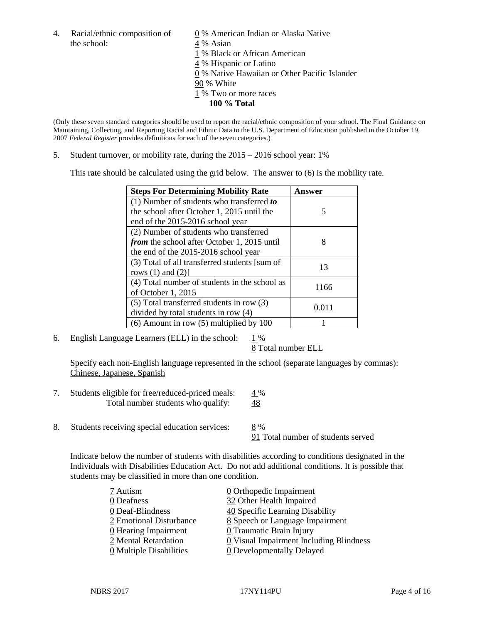4. Racial/ethnic composition of  $\qquad 0 \%$  American Indian or Alaska Native the school:  $4\%$  Asian

 % Black or African American % Hispanic or Latino % Native Hawaiian or Other Pacific Islander 90 % White % Two or more races **100 % Total**

(Only these seven standard categories should be used to report the racial/ethnic composition of your school. The Final Guidance on Maintaining, Collecting, and Reporting Racial and Ethnic Data to the U.S. Department of Education published in the October 19, 2007 *Federal Register* provides definitions for each of the seven categories.)

5. Student turnover, or mobility rate, during the 2015 – 2016 school year: 1%

This rate should be calculated using the grid below. The answer to (6) is the mobility rate.

| <b>Steps For Determining Mobility Rate</b>    | Answer |  |
|-----------------------------------------------|--------|--|
| (1) Number of students who transferred to     |        |  |
| the school after October 1, 2015 until the    | 5      |  |
| end of the 2015-2016 school year              |        |  |
| (2) Number of students who transferred        |        |  |
| from the school after October 1, 2015 until   | 8      |  |
| the end of the 2015-2016 school year          |        |  |
| (3) Total of all transferred students [sum of | 13     |  |
| rows $(1)$ and $(2)$ ]                        |        |  |
| (4) Total number of students in the school as | 1166   |  |
| of October 1, 2015                            |        |  |
| $(5)$ Total transferred students in row $(3)$ |        |  |
| divided by total students in row (4)          | 0.011  |  |
| $(6)$ Amount in row $(5)$ multiplied by 100   |        |  |

6. English Language Learners (ELL) in the school:  $1\%$ 

8 Total number ELL

Specify each non-English language represented in the school (separate languages by commas): Chinese, Japanese, Spanish

- 7. Students eligible for free/reduced-priced meals: 4 % Total number students who qualify: 48
- 8. Students receiving special education services: 8 %

91 Total number of students served

Indicate below the number of students with disabilities according to conditions designated in the Individuals with Disabilities Education Act. Do not add additional conditions. It is possible that students may be classified in more than one condition.

| 7 Autism                              | 0 Orthopedic Impairment                 |
|---------------------------------------|-----------------------------------------|
| 0 Deafness                            | 32 Other Health Impaired                |
| 0 Deaf-Blindness                      | 40 Specific Learning Disability         |
| 2 Emotional Disturbance               | 8 Speech or Language Impairment         |
| 0 Hearing Impairment                  | 0 Traumatic Brain Injury                |
| 2 Mental Retardation                  | 0 Visual Impairment Including Blindness |
| $\underline{0}$ Multiple Disabilities | <b>0</b> Developmentally Delayed        |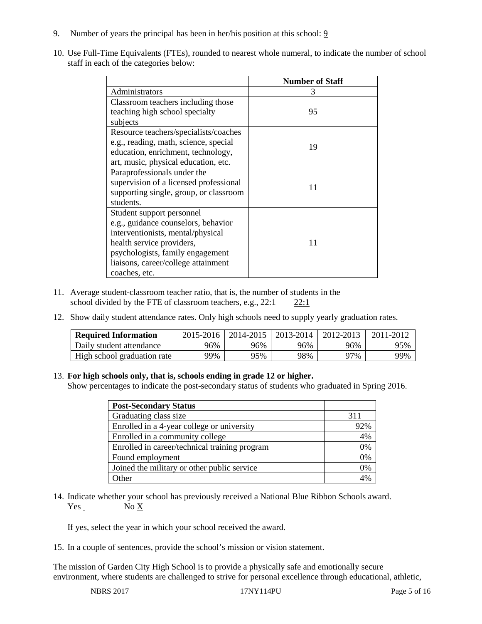- 9. Number of years the principal has been in her/his position at this school: 9
- 10. Use Full-Time Equivalents (FTEs), rounded to nearest whole numeral, to indicate the number of school staff in each of the categories below:

|                                        | <b>Number of Staff</b> |
|----------------------------------------|------------------------|
| Administrators                         | 3                      |
| Classroom teachers including those     |                        |
| teaching high school specialty         | 95                     |
| subjects                               |                        |
| Resource teachers/specialists/coaches  |                        |
| e.g., reading, math, science, special  | 19                     |
| education, enrichment, technology,     |                        |
| art, music, physical education, etc.   |                        |
| Paraprofessionals under the            |                        |
| supervision of a licensed professional | 11                     |
| supporting single, group, or classroom |                        |
| students.                              |                        |
| Student support personnel              |                        |
| e.g., guidance counselors, behavior    |                        |
| interventionists, mental/physical      |                        |
| health service providers,              | 11                     |
| psychologists, family engagement       |                        |
| liaisons, career/college attainment    |                        |
| coaches, etc.                          |                        |

- 11. Average student-classroom teacher ratio, that is, the number of students in the school divided by the FTE of classroom teachers, e.g., 22:1 22:1
- 12. Show daily student attendance rates. Only high schools need to supply yearly graduation rates.

| <b>Required Information</b> | 2015-2016 | 2014-2015 | 2013-2014 | 2012-2013 | 2011-2012 |
|-----------------------------|-----------|-----------|-----------|-----------|-----------|
| Daily student attendance    | 96%       | 96%       | 96%       | 96%       | 95%       |
| High school graduation rate | 99%       | 95%       | 98%       | 97%       | 99%       |

#### 13. **For high schools only, that is, schools ending in grade 12 or higher.**

Show percentages to indicate the post-secondary status of students who graduated in Spring 2016.

| <b>Post-Secondary Status</b>                  |              |
|-----------------------------------------------|--------------|
| Graduating class size                         | 311          |
| Enrolled in a 4-year college or university    | 92%          |
| Enrolled in a community college               | 4%           |
| Enrolled in career/technical training program | 0%           |
| Found employment                              | 0%           |
| Joined the military or other public service   | 0%           |
| Other                                         | $\Delta 0/c$ |

14. Indicate whether your school has previously received a National Blue Ribbon Schools award. Yes No X

If yes, select the year in which your school received the award.

15. In a couple of sentences, provide the school's mission or vision statement.

The mission of Garden City High School is to provide a physically safe and emotionally secure environment, where students are challenged to strive for personal excellence through educational, athletic,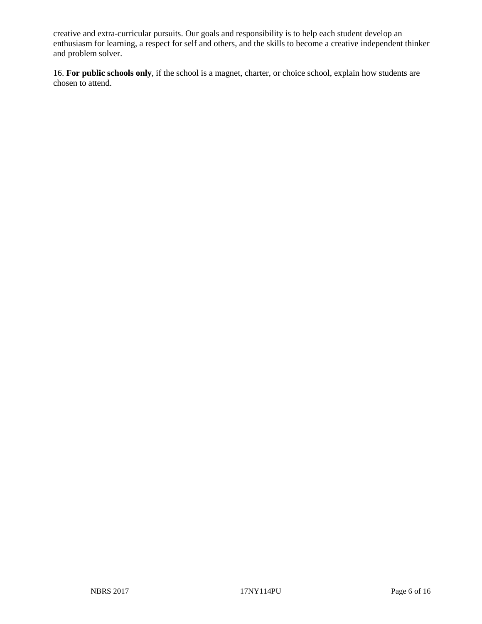creative and extra-curricular pursuits. Our goals and responsibility is to help each student develop an enthusiasm for learning, a respect for self and others, and the skills to become a creative independent thinker and problem solver.

16. **For public schools only**, if the school is a magnet, charter, or choice school, explain how students are chosen to attend.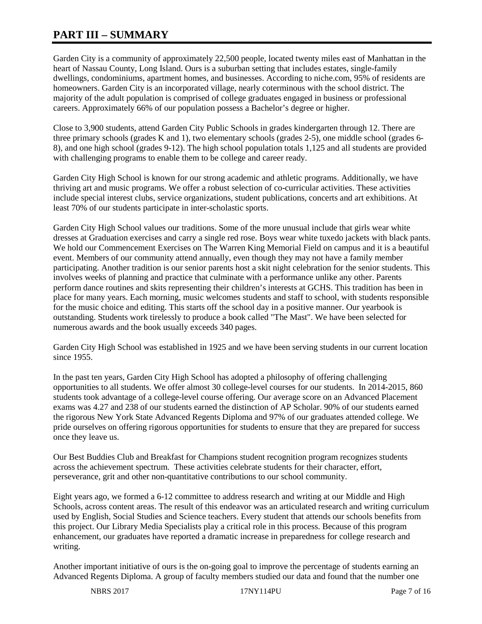# **PART III – SUMMARY**

Garden City is a community of approximately 22,500 people, located twenty miles east of Manhattan in the heart of Nassau County, Long Island. Ours is a suburban setting that includes estates, single-family dwellings, condominiums, apartment homes, and businesses. According to niche.com, 95% of residents are homeowners. Garden City is an incorporated village, nearly coterminous with the school district. The majority of the adult population is comprised of college graduates engaged in business or professional careers. Approximately 66% of our population possess a Bachelor's degree or higher.

Close to 3,900 students, attend Garden City Public Schools in grades kindergarten through 12. There are three primary schools (grades K and 1), two elementary schools (grades 2-5), one middle school (grades 6- 8), and one high school (grades 9-12). The high school population totals 1,125 and all students are provided with challenging programs to enable them to be college and career ready.

Garden City High School is known for our strong academic and athletic programs. Additionally, we have thriving art and music programs. We offer a robust selection of co-curricular activities. These activities include special interest clubs, service organizations, student publications, concerts and art exhibitions. At least 70% of our students participate in inter-scholastic sports.

Garden City High School values our traditions. Some of the more unusual include that girls wear white dresses at Graduation exercises and carry a single red rose. Boys wear white tuxedo jackets with black pants. We hold our Commencement Exercises on The Warren King Memorial Field on campus and it is a beautiful event. Members of our community attend annually, even though they may not have a family member participating. Another tradition is our senior parents host a skit night celebration for the senior students. This involves weeks of planning and practice that culminate with a performance unlike any other. Parents perform dance routines and skits representing their children's interests at GCHS. This tradition has been in place for many years. Each morning, music welcomes students and staff to school, with students responsible for the music choice and editing. This starts off the school day in a positive manner. Our yearbook is outstanding. Students work tirelessly to produce a book called "The Mast". We have been selected for numerous awards and the book usually exceeds 340 pages.

Garden City High School was established in 1925 and we have been serving students in our current location since 1955.

In the past ten years, Garden City High School has adopted a philosophy of offering challenging opportunities to all students. We offer almost 30 college-level courses for our students. In 2014-2015, 860 students took advantage of a college-level course offering. Our average score on an Advanced Placement exams was 4.27 and 238 of our students earned the distinction of AP Scholar. 90% of our students earned the rigorous New York State Advanced Regents Diploma and 97% of our graduates attended college. We pride ourselves on offering rigorous opportunities for students to ensure that they are prepared for success once they leave us.

Our Best Buddies Club and Breakfast for Champions student recognition program recognizes students across the achievement spectrum. These activities celebrate students for their character, effort, perseverance, grit and other non-quantitative contributions to our school community.

Eight years ago, we formed a 6-12 committee to address research and writing at our Middle and High Schools, across content areas. The result of this endeavor was an articulated research and writing curriculum used by English, Social Studies and Science teachers. Every student that attends our schools benefits from this project. Our Library Media Specialists play a critical role in this process. Because of this program enhancement, our graduates have reported a dramatic increase in preparedness for college research and writing.

Another important initiative of ours is the on-going goal to improve the percentage of students earning an Advanced Regents Diploma. A group of faculty members studied our data and found that the number one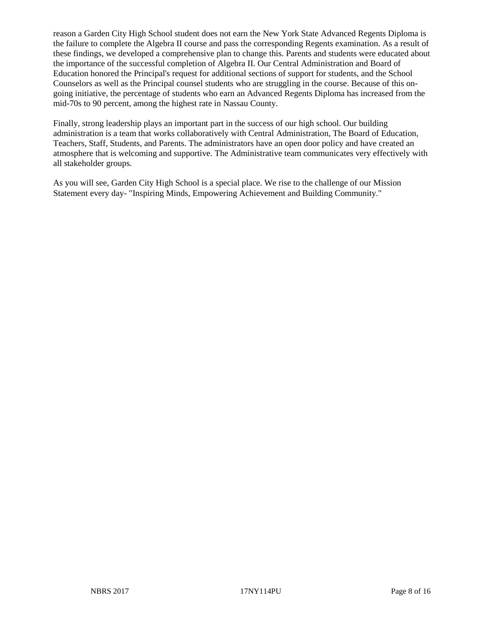reason a Garden City High School student does not earn the New York State Advanced Regents Diploma is the failure to complete the Algebra II course and pass the corresponding Regents examination. As a result of these findings, we developed a comprehensive plan to change this. Parents and students were educated about the importance of the successful completion of Algebra II. Our Central Administration and Board of Education honored the Principal's request for additional sections of support for students, and the School Counselors as well as the Principal counsel students who are struggling in the course. Because of this ongoing initiative, the percentage of students who earn an Advanced Regents Diploma has increased from the mid-70s to 90 percent, among the highest rate in Nassau County.

Finally, strong leadership plays an important part in the success of our high school. Our building administration is a team that works collaboratively with Central Administration, The Board of Education, Teachers, Staff, Students, and Parents. The administrators have an open door policy and have created an atmosphere that is welcoming and supportive. The Administrative team communicates very effectively with all stakeholder groups.

As you will see, Garden City High School is a special place. We rise to the challenge of our Mission Statement every day- "Inspiring Minds, Empowering Achievement and Building Community."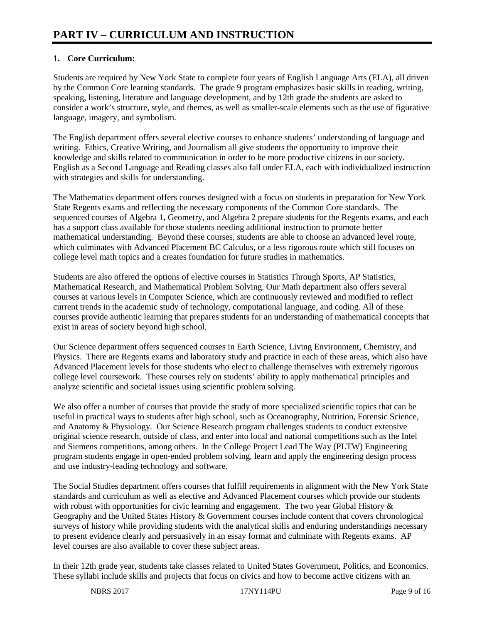# **1. Core Curriculum:**

Students are required by New York State to complete four years of English Language Arts (ELA), all driven by the Common Core learning standards. The grade 9 program emphasizes basic skills in reading, writing, speaking, listening, literature and language development, and by 12th grade the students are asked to consider a work's structure, style, and themes, as well as smaller-scale elements such as the use of figurative language, imagery, and symbolism.

The English department offers several elective courses to enhance students' understanding of language and writing. Ethics, Creative Writing, and Journalism all give students the opportunity to improve their knowledge and skills related to communication in order to be more productive citizens in our society. English as a Second Language and Reading classes also fall under ELA, each with individualized instruction with strategies and skills for understanding.

The Mathematics department offers courses designed with a focus on students in preparation for New York State Regents exams and reflecting the necessary components of the Common Core standards. The sequenced courses of Algebra 1, Geometry, and Algebra 2 prepare students for the Regents exams, and each has a support class available for those students needing additional instruction to promote better mathematical understanding. Beyond these courses, students are able to choose an advanced level route, which culminates with Advanced Placement BC Calculus, or a less rigorous route which still focuses on college level math topics and a creates foundation for future studies in mathematics.

Students are also offered the options of elective courses in Statistics Through Sports, AP Statistics, Mathematical Research, and Mathematical Problem Solving. Our Math department also offers several courses at various levels in Computer Science, which are continuously reviewed and modified to reflect current trends in the academic study of technology, computational language, and coding. All of these courses provide authentic learning that prepares students for an understanding of mathematical concepts that exist in areas of society beyond high school.

Our Science department offers sequenced courses in Earth Science, Living Environment, Chemistry, and Physics. There are Regents exams and laboratory study and practice in each of these areas, which also have Advanced Placement levels for those students who elect to challenge themselves with extremely rigorous college level coursework. These courses rely on students' ability to apply mathematical principles and analyze scientific and societal issues using scientific problem solving.

We also offer a number of courses that provide the study of more specialized scientific topics that can be useful in practical ways to students after high school, such as Oceanography, Nutrition, Forensic Science, and Anatomy & Physiology. Our Science Research program challenges students to conduct extensive original science research, outside of class, and enter into local and national competitions such as the Intel and Siemens competitions, among others. In the College Project Lead The Way (PLTW) Engineering program students engage in open-ended problem solving, learn and apply the engineering design process and use industry-leading technology and software.

The Social Studies department offers courses that fulfill requirements in alignment with the New York State standards and curriculum as well as elective and Advanced Placement courses which provide our students with robust with opportunities for civic learning and engagement. The two year Global History  $\&$ Geography and the United States History & Government courses include content that covers chronological surveys of history while providing students with the analytical skills and enduring understandings necessary to present evidence clearly and persuasively in an essay format and culminate with Regents exams. AP level courses are also available to cover these subject areas.

In their 12th grade year, students take classes related to United States Government, Politics, and Economics. These syllabi include skills and projects that focus on civics and how to become active citizens with an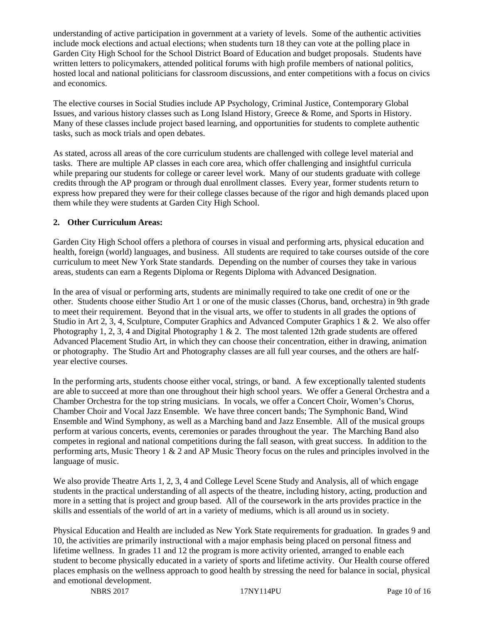understanding of active participation in government at a variety of levels. Some of the authentic activities include mock elections and actual elections; when students turn 18 they can vote at the polling place in Garden City High School for the School District Board of Education and budget proposals. Students have written letters to policymakers, attended political forums with high profile members of national politics, hosted local and national politicians for classroom discussions, and enter competitions with a focus on civics and economics.

The elective courses in Social Studies include AP Psychology, Criminal Justice, Contemporary Global Issues, and various history classes such as Long Island History, Greece & Rome, and Sports in History. Many of these classes include project based learning, and opportunities for students to complete authentic tasks, such as mock trials and open debates.

As stated, across all areas of the core curriculum students are challenged with college level material and tasks. There are multiple AP classes in each core area, which offer challenging and insightful curricula while preparing our students for college or career level work. Many of our students graduate with college credits through the AP program or through dual enrollment classes. Every year, former students return to express how prepared they were for their college classes because of the rigor and high demands placed upon them while they were students at Garden City High School.

# **2. Other Curriculum Areas:**

Garden City High School offers a plethora of courses in visual and performing arts, physical education and health, foreign (world) languages, and business. All students are required to take courses outside of the core curriculum to meet New York State standards. Depending on the number of courses they take in various areas, students can earn a Regents Diploma or Regents Diploma with Advanced Designation.

In the area of visual or performing arts, students are minimally required to take one credit of one or the other. Students choose either Studio Art 1 or one of the music classes (Chorus, band, orchestra) in 9th grade to meet their requirement. Beyond that in the visual arts, we offer to students in all grades the options of Studio in Art 2, 3, 4, Sculpture, Computer Graphics and Advanced Computer Graphics 1 & 2. We also offer Photography 1, 2, 3, 4 and Digital Photography 1  $\&$  2. The most talented 12th grade students are offered Advanced Placement Studio Art, in which they can choose their concentration, either in drawing, animation or photography. The Studio Art and Photography classes are all full year courses, and the others are halfyear elective courses.

In the performing arts, students choose either vocal, strings, or band. A few exceptionally talented students are able to succeed at more than one throughout their high school years. We offer a General Orchestra and a Chamber Orchestra for the top string musicians. In vocals, we offer a Concert Choir, Women's Chorus, Chamber Choir and Vocal Jazz Ensemble. We have three concert bands; The Symphonic Band, Wind Ensemble and Wind Symphony, as well as a Marching band and Jazz Ensemble. All of the musical groups perform at various concerts, events, ceremonies or parades throughout the year. The Marching Band also competes in regional and national competitions during the fall season, with great success. In addition to the performing arts, Music Theory 1 & 2 and AP Music Theory focus on the rules and principles involved in the language of music.

We also provide Theatre Arts 1, 2, 3, 4 and College Level Scene Study and Analysis, all of which engage students in the practical understanding of all aspects of the theatre, including history, acting, production and more in a setting that is project and group based. All of the coursework in the arts provides practice in the skills and essentials of the world of art in a variety of mediums, which is all around us in society.

Physical Education and Health are included as New York State requirements for graduation. In grades 9 and 10, the activities are primarily instructional with a major emphasis being placed on personal fitness and lifetime wellness. In grades 11 and 12 the program is more activity oriented, arranged to enable each student to become physically educated in a variety of sports and lifetime activity. Our Health course offered places emphasis on the wellness approach to good health by stressing the need for balance in social, physical and emotional development.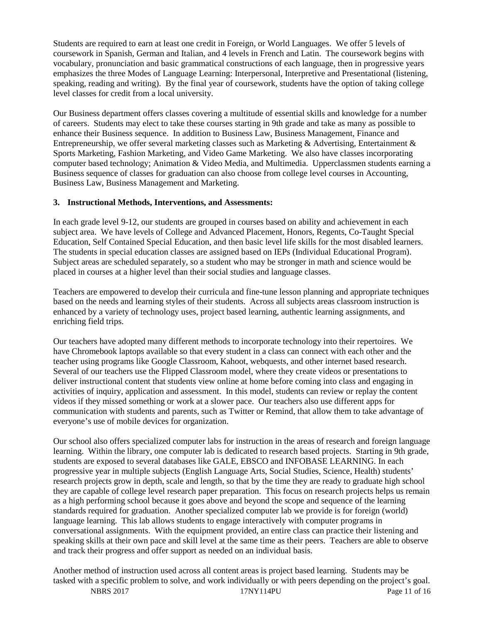Students are required to earn at least one credit in Foreign, or World Languages. We offer 5 levels of coursework in Spanish, German and Italian, and 4 levels in French and Latin. The coursework begins with vocabulary, pronunciation and basic grammatical constructions of each language, then in progressive years emphasizes the three Modes of Language Learning: Interpersonal, Interpretive and Presentational (listening, speaking, reading and writing). By the final year of coursework, students have the option of taking college level classes for credit from a local university.

Our Business department offers classes covering a multitude of essential skills and knowledge for a number of careers. Students may elect to take these courses starting in 9th grade and take as many as possible to enhance their Business sequence. In addition to Business Law, Business Management, Finance and Entrepreneurship, we offer several marketing classes such as Marketing & Advertising, Entertainment & Sports Marketing, Fashion Marketing, and Video Game Marketing. We also have classes incorporating computer based technology; Animation & Video Media, and Multimedia. Upperclassmen students earning a Business sequence of classes for graduation can also choose from college level courses in Accounting, Business Law, Business Management and Marketing.

#### **3. Instructional Methods, Interventions, and Assessments:**

In each grade level 9-12, our students are grouped in courses based on ability and achievement in each subject area. We have levels of College and Advanced Placement, Honors, Regents, Co-Taught Special Education, Self Contained Special Education, and then basic level life skills for the most disabled learners. The students in special education classes are assigned based on IEPs (Individual Educational Program). Subject areas are scheduled separately, so a student who may be stronger in math and science would be placed in courses at a higher level than their social studies and language classes.

Teachers are empowered to develop their curricula and fine-tune lesson planning and appropriate techniques based on the needs and learning styles of their students. Across all subjects areas classroom instruction is enhanced by a variety of technology uses, project based learning, authentic learning assignments, and enriching field trips.

Our teachers have adopted many different methods to incorporate technology into their repertoires. We have Chromebook laptops available so that every student in a class can connect with each other and the teacher using programs like Google Classroom, Kahoot, webquests, and other internet based research. Several of our teachers use the Flipped Classroom model, where they create videos or presentations to deliver instructional content that students view online at home before coming into class and engaging in activities of inquiry, application and assessment. In this model, students can review or replay the content videos if they missed something or work at a slower pace. Our teachers also use different apps for communication with students and parents, such as Twitter or Remind, that allow them to take advantage of everyone's use of mobile devices for organization.

Our school also offers specialized computer labs for instruction in the areas of research and foreign language learning. Within the library, one computer lab is dedicated to research based projects. Starting in 9th grade, students are exposed to several databases like GALE, EBSCO and INFOBASE LEARNING. In each progressive year in multiple subjects (English Language Arts, Social Studies, Science, Health) students' research projects grow in depth, scale and length, so that by the time they are ready to graduate high school they are capable of college level research paper preparation. This focus on research projects helps us remain as a high performing school because it goes above and beyond the scope and sequence of the learning standards required for graduation. Another specialized computer lab we provide is for foreign (world) language learning. This lab allows students to engage interactively with computer programs in conversational assignments. With the equipment provided, an entire class can practice their listening and speaking skills at their own pace and skill level at the same time as their peers. Teachers are able to observe and track their progress and offer support as needed on an individual basis.

Another method of instruction used across all content areas is project based learning. Students may be tasked with a specific problem to solve, and work individually or with peers depending on the project's goal.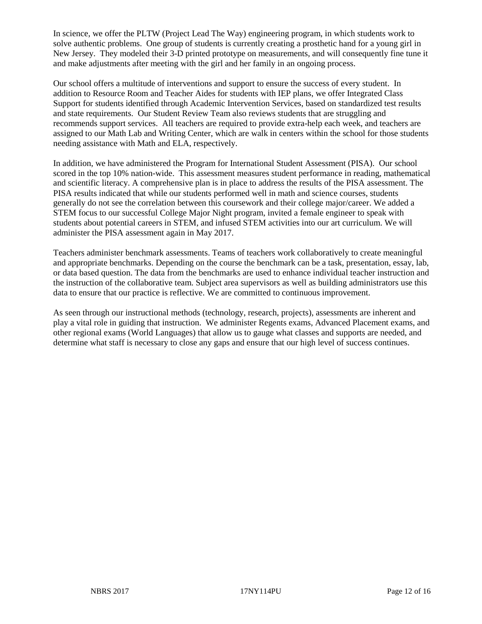In science, we offer the PLTW (Project Lead The Way) engineering program, in which students work to solve authentic problems. One group of students is currently creating a prosthetic hand for a young girl in New Jersey. They modeled their 3-D printed prototype on measurements, and will consequently fine tune it and make adjustments after meeting with the girl and her family in an ongoing process.

Our school offers a multitude of interventions and support to ensure the success of every student. In addition to Resource Room and Teacher Aides for students with IEP plans, we offer Integrated Class Support for students identified through Academic Intervention Services, based on standardized test results and state requirements. Our Student Review Team also reviews students that are struggling and recommends support services. All teachers are required to provide extra-help each week, and teachers are assigned to our Math Lab and Writing Center, which are walk in centers within the school for those students needing assistance with Math and ELA, respectively.

In addition, we have administered the Program for International Student Assessment (PISA). Our school scored in the top 10% nation-wide. This assessment measures student performance in reading, mathematical and scientific literacy. A comprehensive plan is in place to address the results of the PISA assessment. The PISA results indicated that while our students performed well in math and science courses, students generally do not see the correlation between this coursework and their college major/career. We added a STEM focus to our successful College Major Night program, invited a female engineer to speak with students about potential careers in STEM, and infused STEM activities into our art curriculum. We will administer the PISA assessment again in May 2017.

Teachers administer benchmark assessments. Teams of teachers work collaboratively to create meaningful and appropriate benchmarks. Depending on the course the benchmark can be a task, presentation, essay, lab, or data based question. The data from the benchmarks are used to enhance individual teacher instruction and the instruction of the collaborative team. Subject area supervisors as well as building administrators use this data to ensure that our practice is reflective. We are committed to continuous improvement.

As seen through our instructional methods (technology, research, projects), assessments are inherent and play a vital role in guiding that instruction. We administer Regents exams, Advanced Placement exams, and other regional exams (World Languages) that allow us to gauge what classes and supports are needed, and determine what staff is necessary to close any gaps and ensure that our high level of success continues.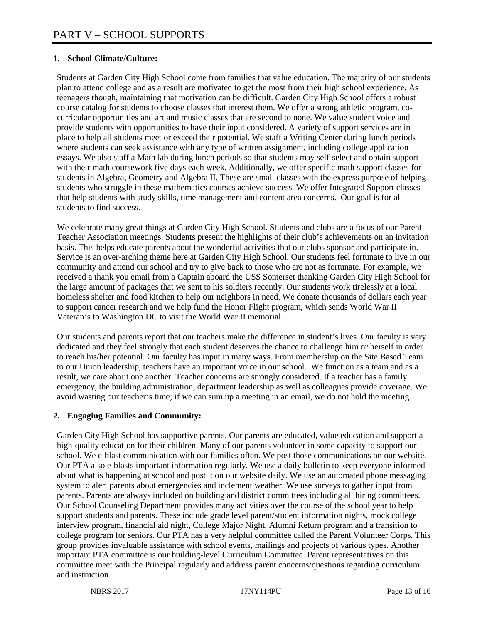# **1. School Climate/Culture:**

Students at Garden City High School come from families that value education. The majority of our students plan to attend college and as a result are motivated to get the most from their high school experience. As teenagers though, maintaining that motivation can be difficult. Garden City High School offers a robust course catalog for students to choose classes that interest them. We offer a strong athletic program, cocurricular opportunities and art and music classes that are second to none. We value student voice and provide students with opportunities to have their input considered. A variety of support services are in place to help all students meet or exceed their potential. We staff a Writing Center during lunch periods where students can seek assistance with any type of written assignment, including college application essays. We also staff a Math lab during lunch periods so that students may self-select and obtain support with their math coursework five days each week. Additionally, we offer specific math support classes for students in Algebra, Geometry and Algebra II. These are small classes with the express purpose of helping students who struggle in these mathematics courses achieve success. We offer Integrated Support classes that help students with study skills, time management and content area concerns. Our goal is for all students to find success.

We celebrate many great things at Garden City High School. Students and clubs are a focus of our Parent Teacher Association meetings. Students present the highlights of their club's achievements on an invitation basis. This helps educate parents about the wonderful activities that our clubs sponsor and participate in. Service is an over-arching theme here at Garden City High School. Our students feel fortunate to live in our community and attend our school and try to give back to those who are not as fortunate. For example, we received a thank you email from a Captain aboard the USS Somerset thanking Garden City High School for the large amount of packages that we sent to his soldiers recently. Our students work tirelessly at a local homeless shelter and food kitchen to help our neighbors in need. We donate thousands of dollars each year to support cancer research and we help fund the Honor Flight program, which sends World War II Veteran's to Washington DC to visit the World War II memorial.

Our students and parents report that our teachers make the difference in student's lives. Our faculty is very dedicated and they feel strongly that each student deserves the chance to challenge him or herself in order to reach his/her potential. Our faculty has input in many ways. From membership on the Site Based Team to our Union leadership, teachers have an important voice in our school. We function as a team and as a result, we care about one another. Teacher concerns are strongly considered. If a teacher has a family emergency, the building administration, department leadership as well as colleagues provide coverage. We avoid wasting our teacher's time; if we can sum up a meeting in an email, we do not hold the meeting.

# **2. Engaging Families and Community:**

Garden City High School has supportive parents. Our parents are educated, value education and support a high-quality education for their children. Many of our parents volunteer in some capacity to support our school. We e-blast communication with our families often. We post those communications on our website. Our PTA also e-blasts important information regularly. We use a daily bulletin to keep everyone informed about what is happening at school and post it on our website daily. We use an automated phone messaging system to alert parents about emergencies and inclement weather. We use surveys to gather input from parents. Parents are always included on building and district committees including all hiring committees. Our School Counseling Department provides many activities over the course of the school year to help support students and parents. These include grade level parent/student information nights, mock college interview program, financial aid night, College Major Night, Alumni Return program and a transition to college program for seniors. Our PTA has a very helpful committee called the Parent Volunteer Corps. This group provides invaluable assistance with school events, mailings and projects of various types. Another important PTA committee is our building-level Curriculum Committee. Parent representatives on this committee meet with the Principal regularly and address parent concerns/questions regarding curriculum and instruction.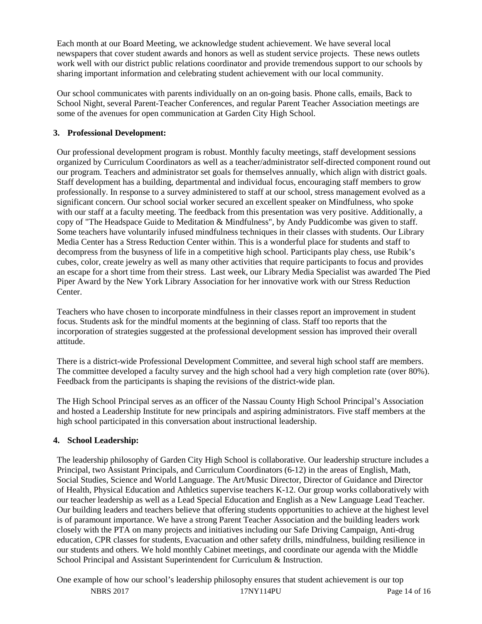Each month at our Board Meeting, we acknowledge student achievement. We have several local newspapers that cover student awards and honors as well as student service projects. These news outlets work well with our district public relations coordinator and provide tremendous support to our schools by sharing important information and celebrating student achievement with our local community.

Our school communicates with parents individually on an on-going basis. Phone calls, emails, Back to School Night, several Parent-Teacher Conferences, and regular Parent Teacher Association meetings are some of the avenues for open communication at Garden City High School.

#### **3. Professional Development:**

Our professional development program is robust. Monthly faculty meetings, staff development sessions organized by Curriculum Coordinators as well as a teacher/administrator self-directed component round out our program. Teachers and administrator set goals for themselves annually, which align with district goals. Staff development has a building, departmental and individual focus, encouraging staff members to grow professionally. In response to a survey administered to staff at our school, stress management evolved as a significant concern. Our school social worker secured an excellent speaker on Mindfulness, who spoke with our staff at a faculty meeting. The feedback from this presentation was very positive. Additionally, a copy of "The Headspace Guide to Meditation & Mindfulness", by Andy Puddicombe was given to staff. Some teachers have voluntarily infused mindfulness techniques in their classes with students. Our Library Media Center has a Stress Reduction Center within. This is a wonderful place for students and staff to decompress from the busyness of life in a competitive high school. Participants play chess, use Rubik's cubes, color, create jewelry as well as many other activities that require participants to focus and provides an escape for a short time from their stress. Last week, our Library Media Specialist was awarded The Pied Piper Award by the New York Library Association for her innovative work with our Stress Reduction Center.

Teachers who have chosen to incorporate mindfulness in their classes report an improvement in student focus. Students ask for the mindful moments at the beginning of class. Staff too reports that the incorporation of strategies suggested at the professional development session has improved their overall attitude.

There is a district-wide Professional Development Committee, and several high school staff are members. The committee developed a faculty survey and the high school had a very high completion rate (over 80%). Feedback from the participants is shaping the revisions of the district-wide plan.

The High School Principal serves as an officer of the Nassau County High School Principal's Association and hosted a Leadership Institute for new principals and aspiring administrators. Five staff members at the high school participated in this conversation about instructional leadership.

# **4. School Leadership:**

The leadership philosophy of Garden City High School is collaborative. Our leadership structure includes a Principal, two Assistant Principals, and Curriculum Coordinators (6-12) in the areas of English, Math, Social Studies, Science and World Language. The Art/Music Director, Director of Guidance and Director of Health, Physical Education and Athletics supervise teachers K-12. Our group works collaboratively with our teacher leadership as well as a Lead Special Education and English as a New Language Lead Teacher. Our building leaders and teachers believe that offering students opportunities to achieve at the highest level is of paramount importance. We have a strong Parent Teacher Association and the building leaders work closely with the PTA on many projects and initiatives including our Safe Driving Campaign, Anti-drug education, CPR classes for students, Evacuation and other safety drills, mindfulness, building resilience in our students and others. We hold monthly Cabinet meetings, and coordinate our agenda with the Middle School Principal and Assistant Superintendent for Curriculum & Instruction.

NBRS 2017 17NY114PU Page 14 of 16 One example of how our school's leadership philosophy ensures that student achievement is our top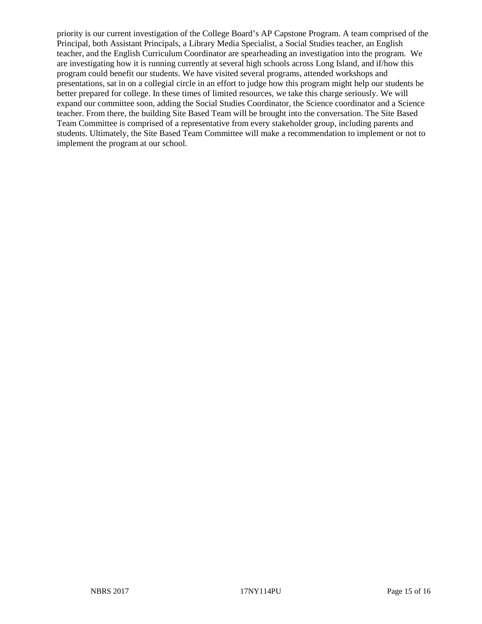priority is our current investigation of the College Board's AP Capstone Program. A team comprised of the Principal, both Assistant Principals, a Library Media Specialist, a Social Studies teacher, an English teacher, and the English Curriculum Coordinator are spearheading an investigation into the program. We are investigating how it is running currently at several high schools across Long Island, and if/how this program could benefit our students. We have visited several programs, attended workshops and presentations, sat in on a collegial circle in an effort to judge how this program might help our students be better prepared for college. In these times of limited resources, we take this charge seriously. We will expand our committee soon, adding the Social Studies Coordinator, the Science coordinator and a Science teacher. From there, the building Site Based Team will be brought into the conversation. The Site Based Team Committee is comprised of a representative from every stakeholder group, including parents and students. Ultimately, the Site Based Team Committee will make a recommendation to implement or not to implement the program at our school.